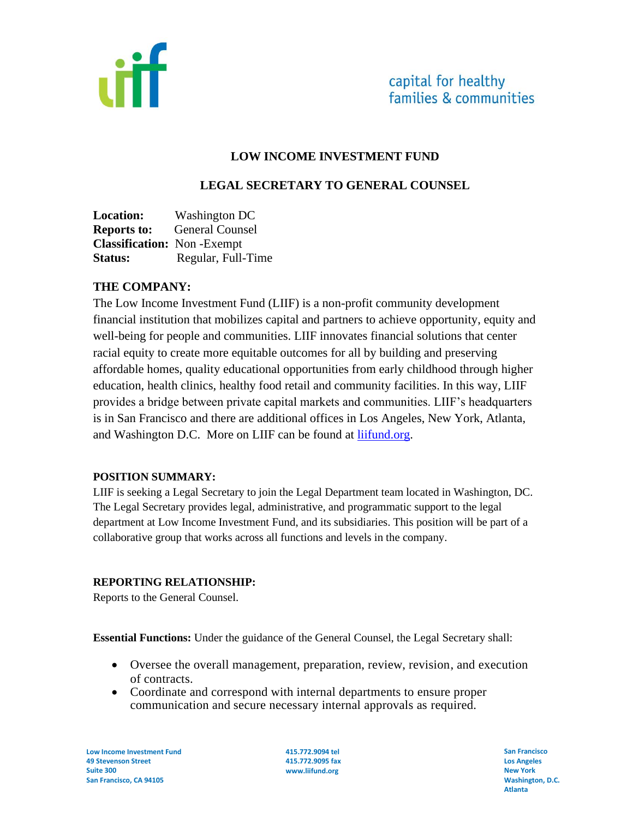

## **LOW INCOME INVESTMENT FUND**

### **LEGAL SECRETARY TO GENERAL COUNSEL**

**Location:** Washington DC **Reports to:** General Counsel **Classification:** Non -Exempt **Status:** Regular, Full-Time

#### **THE COMPANY:**

The Low Income Investment Fund (LIIF) is a non-profit community development financial institution that mobilizes capital and partners to achieve opportunity, equity and well-being for people and communities. LIIF innovates financial solutions that center racial equity to create more equitable outcomes for all by building and preserving affordable homes, quality educational opportunities from early childhood through higher education, health clinics, healthy food retail and community facilities. In this way, LIIF provides a bridge between private capital markets and communities. LIIF's headquarters is in San Francisco and there are additional offices in Los Angeles, New York, Atlanta, and Washington D.C. More on LIIF can be found at [liifund.org.](https://www.liifund.org/)

#### **POSITION SUMMARY:**

LIIF is seeking a Legal Secretary to join the Legal Department team located in Washington, DC. The Legal Secretary provides legal, administrative, and programmatic support to the legal department at Low Income Investment Fund, and its subsidiaries. This position will be part of a collaborative group that works across all functions and levels in the company.

#### **REPORTING RELATIONSHIP:**

Reports to the General Counsel.

**Essential Functions:** Under the guidance of the General Counsel, the Legal Secretary shall:

- Oversee the overall management, preparation, review, revision, and execution of contracts.
- Coordinate and correspond with internal departments to ensure proper communication and secure necessary internal approvals as required.

**Low Income Investment Fund 49 Stevenson Street Suite 300 San Francisco, CA 94105**

**415.772.9094 tel 415.772.9095 fax www.liifund.org**

**San Francisco Los Angeles New York Washington, D.C. Atlanta**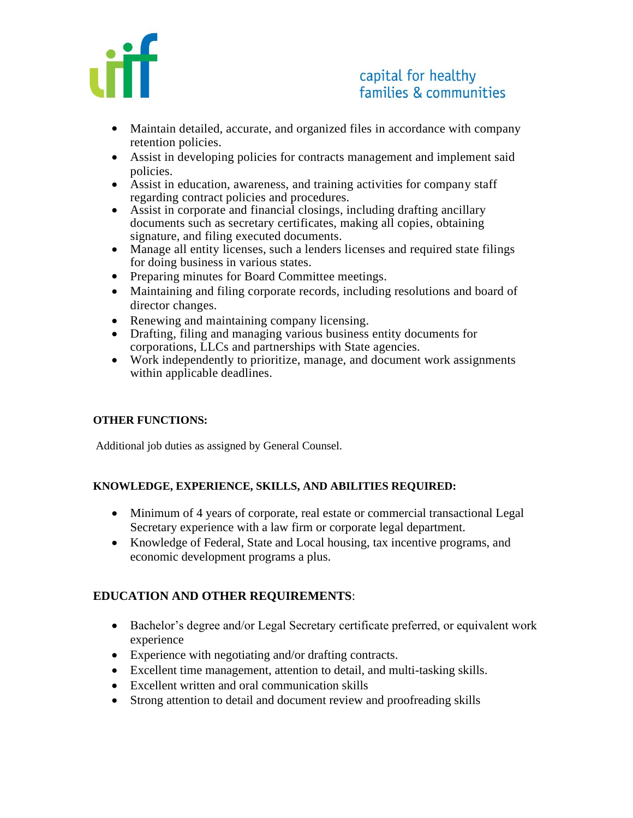

# capital for healthy families & communities

- Maintain detailed, accurate, and organized files in accordance with company retention policies.
- Assist in developing policies for contracts management and implement said policies.
- Assist in education, awareness, and training activities for company staff regarding contract policies and procedures.
- Assist in corporate and financial closings, including drafting ancillary documents such as secretary certificates, making all copies, obtaining signature, and filing executed documents.
- Manage all entity licenses, such a lenders licenses and required state filings for doing business in various states.
- Preparing minutes for Board Committee meetings.
- Maintaining and filing corporate records, including resolutions and board of director changes.
- Renewing and maintaining company licensing.
- Drafting, filing and managing various business entity documents for corporations, LLCs and partnerships with State agencies.
- Work independently to prioritize, manage, and document work assignments within applicable deadlines.

### **OTHER FUNCTIONS:**

Additional job duties as assigned by General Counsel.

### **KNOWLEDGE, EXPERIENCE, SKILLS, AND ABILITIES REQUIRED:**

- Minimum of 4 years of corporate, real estate or commercial transactional Legal Secretary experience with a law firm or corporate legal department.
- Knowledge of Federal, State and Local housing, tax incentive programs, and economic development programs a plus.

# **EDUCATION AND OTHER REQUIREMENTS**:

- Bachelor's degree and/or Legal Secretary certificate preferred, or equivalent work experience
- Experience with negotiating and/or drafting contracts.
- Excellent time management, attention to detail, and multi-tasking skills.
- Excellent written and oral communication skills
- Strong attention to detail and document review and proofreading skills